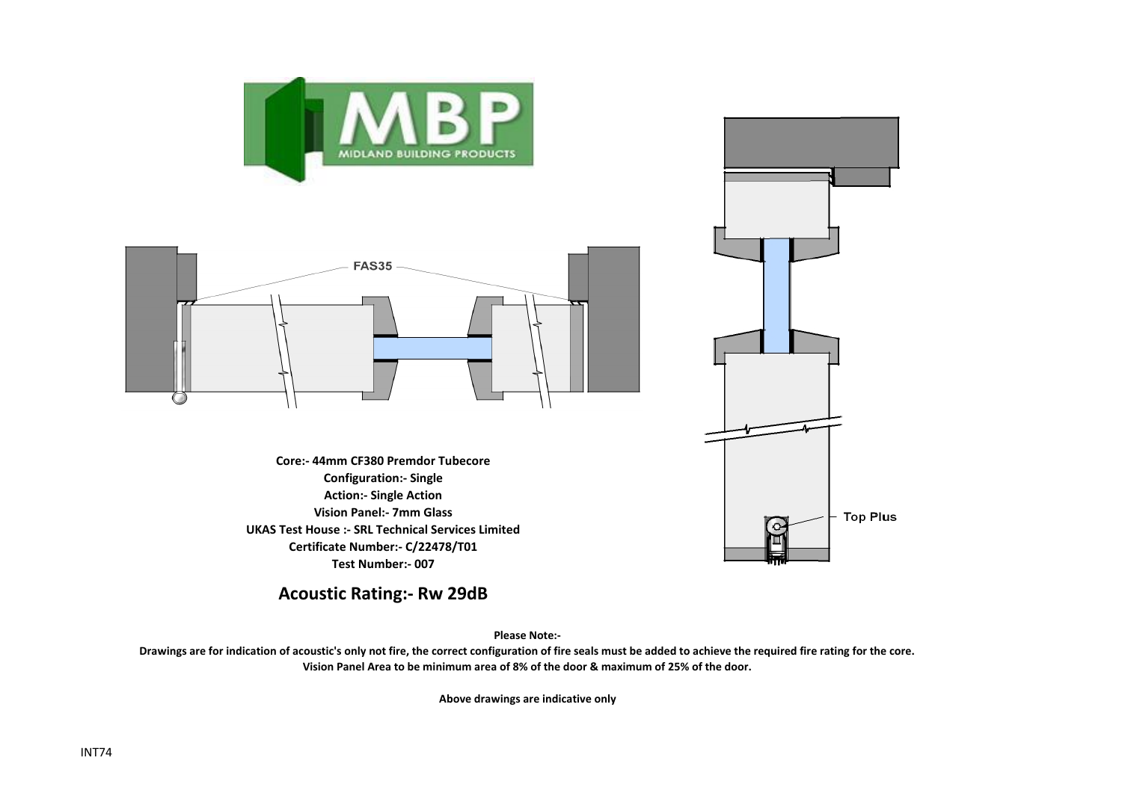



**Core:- 44mm CF380 Premdor Tubecore Configuration:- Single Action:- Single Action Vision Panel:- 7mm Glass UKAS Test House :- SRL Technical Services Limited Certificate Number:- C/22478/T01 Test Number:- 007**



**Acoustic Rating:- Rw 29dB**

**Please Note:-** 

**Drawings are for indication of acoustic's only not fire, the correct configuration of fire seals must be added to achieve the required fire rating for the core. Vision Panel Area to be minimum area of 8% of the door & maximum of 25% of the door.**

**Above drawings are indicative only**